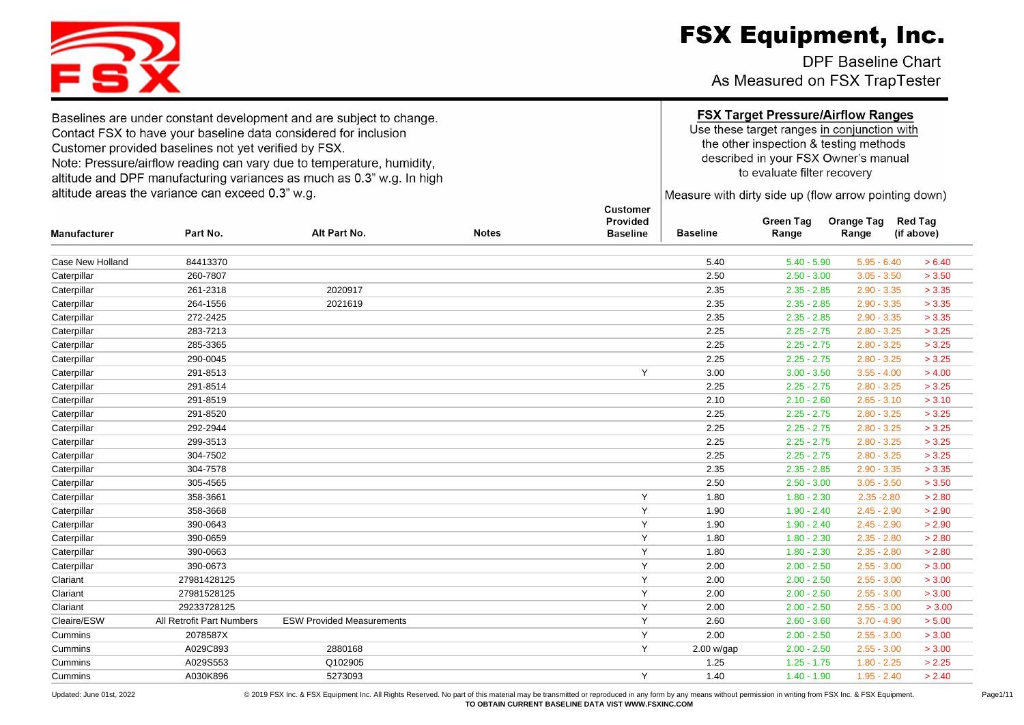DPF Baseline Chart As Measured on FSX TrapTester

Caterpillar 261-2318 2020917 2.35 2.35 - 2.85 2.90 - 3.35 > 3.35 Caterpillar 264-1556 2021619 2.35 2.35 - 2.85 2.90 - 3.35 > 3.35 Caterpillar 272-2425 2.35 2.35 - 2.85 2.90 - 3.35 > 3.35 Caterpillar 283-7213 2.25 2.25 - 2.75 2.80 - 3.25 > 3.25 Caterpillar 285-3365 2.25 2.25 - 2.75 2.80 - 3.25 > 3.25 Caterpillar 290-0045 2.25 2.25 - 2.75 2.80 - 3.25 > 3.25 Caterpillar 291-8513 Y 3.00 3.00 - 3.50 3.55 - 4.00 > 4.00 Caterpillar 291-8514 2.25 2.25 - 2.75 2.80 - 3.25 > 3.25 Caterpillar 291-8519 2.10 2.10 - 2.60 2.65 - 3.10 > 3.10 Caterpillar 291-8520 2.25 2.25 - 2.75 2.80 - 3.25 > 3.25 Caterpillar 292-2944 2.25 2.25 - 2.75 2.80 - 3.25 > 3.25 Caterpillar 299-3513 2.25 2.25 - 2.75 2.80 - 3.25 > 3.25 Caterpillar 304-7502 2.25 2.25 - 2.75 2.80 - 3.25 > 3.25 Caterpillar 304-7578 2.35 2.35 - 2.85 2.90 - 3.35 > 3.35 Caterpillar 305-4565 2.50 2.50 - 3.00 3.05 - 3.50 > 3.50 Caterpillar 358-3661 Y 1.80 1.80 - 2.30 2.35 -2.80 > 2.80 Caterpillar 358-3668 Y 1.90 1.90 - 2.40 2.45 - 2.90 > 2.90 Caterpillar 390-0643 Y 1.90 1.90 - 2.40 2.45 - 2.90 > 2.90 Caterpillar 390-0659 Y 1.80 1.80 - 2.30 2.35 - 2.80 > 2.80 Caterpillar 390-0663 Y 1.80 1.80 - 2.30 2.35 - 2.80 > 2.80 Caterpillar 390-0673 Y 2.00 2.00 - 2.50 2.55 - 3.00 > 3.00 Clariant 27981428125 Y 2.00 2.00 - 2.50 2.55 - 3.00 > 3.00 Clariant 27981528125 Y 2.00 2.00 - 2.50 2.55 - 3.00 > 3.00 Clariant 29233728125 Y 2.00 2.00 - 2.50 2.55 - 3.00 > 3.00 Cleaire/ESW All Retrofit Part Numbers ESW Provided Measurements Y 2.60 2.60 3.70 - 4.90 > 5.00 Cummins 2078587X Y 2.00 2.00 - 2.50 2.55 - 3.00 > 3.00 Cummins A029C893 2880168 Y 2.00 w/gap 2.00 - 2.50 2.55 - 3.00 > 3.00 Cummins A029S553 Q102905 1.25 1.25 - 1.75 1.80 - 2.25 > 2.25

Cummins A030K896 5273093 Y 1.40 1.40 - 1.90 1.95 - 2.40 > 2.40

Case New Holland 84413370 5.40 5.40 - 5.90 5.95 - 6.40 > 6.40 Caterpillar 260-7807 2.50 2.50 - 3.00 3.05 - 3.50 > 3.50

**Notes** 

**Customer** Provided

**Baseline** 

**Baseline** 

Baselines are under constant development and are subject to change. Contact FSX to have your baseline data considered for inclusion Customer provided baselines not vet verified by FSX. Note: Pressure/airflow reading can vary due to temperature, humidity. altitude and DPF manufacturing variances as much as 0.3" w.g. In high altitude areas the variance can exceed 0.3" w.g.

Alt Part No.

Part No.

### **FSX Target Pressure/Airflow Ranges**

Use these target ranges in conjunction with the other inspection & testing methods described in your FSX Owner's manual to evaluate filter recovery

Measure with dirty side up (flow arrow pointing down)

**Orange Tag** 

Range

**Red Tag** 

(if above)

**Green Tag** 

Range

Updated: June 01st, 2022 <br>
© 2019 FSX Inc. & FSX Equipment. D. All Rights Reserved. No part of this material may be transmitted or reproduced in any form by any means without permission in writing from FSX Inc. & FSX Equip **TO OBTAIN CURRENT BASELINE DATA VIST WWW.FSXINC.COM**



Manufacturer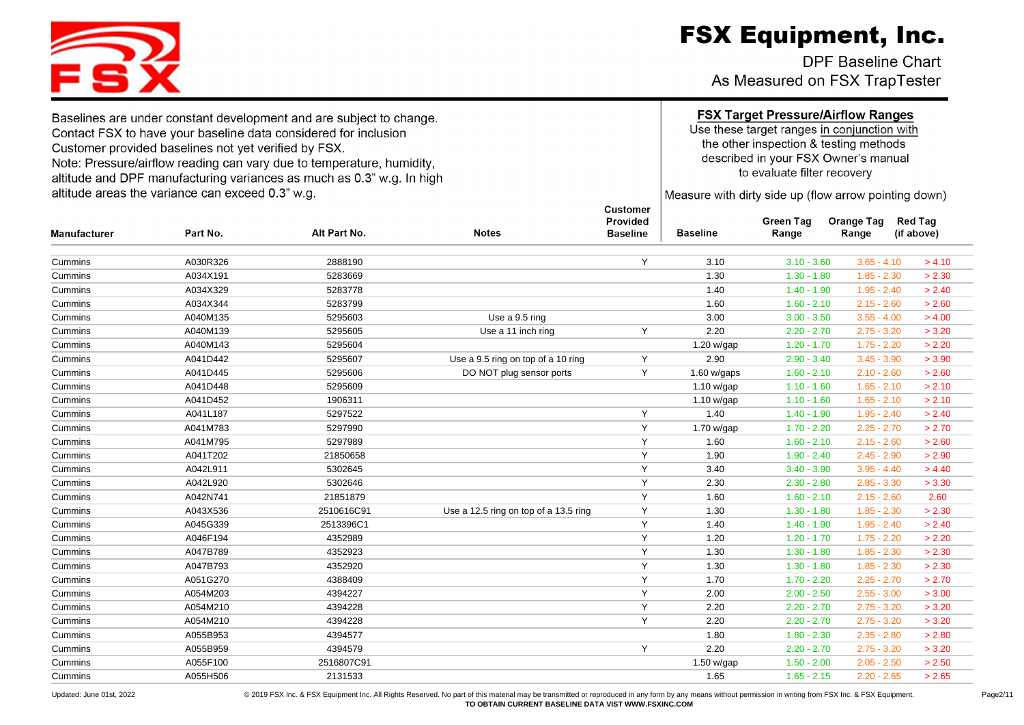DPF Baseline Chart As Measured on FSX TrapTester

Use these target ranges in conjunction with the other inspection & testing methods described in your FSX Owner's manual to evaluate filter recovery

Measure with dirty side up (flow arrow pointing down)

| <b>Manufacturer</b> | Part No. | Alt Part No. | <b>Notes</b>                          | Provided<br><b>Baseline</b> | <b>Baseline</b> | <b>Green Tag</b><br>Range | <b>Orange Tag</b><br>Range | <b>Red Tag</b><br>(if above) |
|---------------------|----------|--------------|---------------------------------------|-----------------------------|-----------------|---------------------------|----------------------------|------------------------------|
| Cummins             | A030R326 | 2888190      |                                       | Y                           | 3.10            | $3.10 - 3.60$             | $3.65 - 4.10$              | > 4.10                       |
| Cummins             | A034X191 | 5283669      |                                       |                             | 1.30            | $1.30 - 1.80$             | $1.85 - 2.30$              | > 2.30                       |
| Cummins             | A034X329 | 5283778      |                                       |                             | 1.40            | $1.40 - 1.90$             | $1.95 - 2.40$              | > 2.40                       |
| Cummins             | A034X344 | 5283799      |                                       |                             | 1.60            | $1.60 - 2.10$             | $2.15 - 2.60$              | > 2.60                       |
| Cummins             | A040M135 | 5295603      | Use a 9.5 ring                        |                             | 3.00            | $3.00 - 3.50$             | $3.55 - 4.00$              | > 4.00                       |
| Cummins             | A040M139 | 5295605      | Use a 11 inch ring                    | Y                           | 2.20            | $2.20 - 2.70$             | $2.75 - 3.20$              | > 3.20                       |
| Cummins             | A040M143 | 5295604      |                                       |                             | 1.20 w/gap      | $1.20 - 1.70$             | $1.75 - 2.20$              | > 2.20                       |
| Cummins             | A041D442 | 5295607      | Use a 9.5 ring on top of a 10 ring    | Y                           | 2.90            | $2.90 - 3.40$             | $3.45 - 3.90$              | > 3.90                       |
| Cummins             | A041D445 | 5295606      | DO NOT plug sensor ports              | Y                           | 1.60 w/gaps     | $1.60 - 2.10$             | $2.10 - 2.60$              | > 2.60                       |
| Cummins             | A041D448 | 5295609      |                                       |                             | 1.10 w/gap      | $1.10 - 1.60$             | $1.65 - 2.10$              | > 2.10                       |
| Cummins             | A041D452 | 1906311      |                                       |                             | 1.10 w/gap      | $1.10 - 1.60$             | $1.65 - 2.10$              | > 2.10                       |
| Cummins             | A041L187 | 5297522      |                                       | Y                           | 1.40            | $1.40 - 1.90$             | $1.95 - 2.40$              | > 2.40                       |
| Cummins             | A041M783 | 5297990      |                                       | Y                           | 1.70 w/gap      | $1.70 - 2.20$             | $2.25 - 2.70$              | > 2.70                       |
| Cummins             | A041M795 | 5297989      |                                       | Y                           | 1.60            | $1.60 - 2.10$             | $2.15 - 2.60$              | > 2.60                       |
| Cummins             | A041T202 | 21850658     |                                       | Y                           | 1.90            | $1.90 - 2.40$             | $2.45 - 2.90$              | > 2.90                       |
| Cummins             | A042L911 | 5302645      |                                       | Y                           | 3.40            | $3.40 - 3.90$             | $3.95 - 4.40$              | > 4.40                       |
| Cummins             | A042L920 | 5302646      |                                       | Y                           | 2.30            | $2.30 - 2.80$             | $2.85 - 3.30$              | > 3.30                       |
| Cummins             | A042N741 | 21851879     |                                       | Y                           | 1.60            | $1.60 - 2.10$             | $2.15 - 2.60$              | 2.60                         |
| Cummins             | A043X536 | 2510616C91   | Use a 12.5 ring on top of a 13.5 ring | Y                           | 1.30            | $1.30 - 1.80$             | $1.85 - 2.30$              | > 2.30                       |
| Cummins             | A045G339 | 2513396C1    |                                       | Y                           | 1.40            | $1.40 - 1.90$             | $1.95 - 2.40$              | > 2.40                       |
| Cummins             | A046F194 | 4352989      |                                       | Y                           | 1.20            | $1.20 - 1.70$             | $1.75 - 2.20$              | > 2.20                       |
| Cummins             | A047B789 | 4352923      |                                       | Y                           | 1.30            | $1.30 - 1.80$             | $1.85 - 2.30$              | > 2.30                       |
| Cummins             | A047B793 | 4352920      |                                       | Y                           | 1.30            | $1.30 - 1.80$             | $1.85 - 2.30$              | > 2.30                       |
| Cummins             | A051G270 | 4388409      |                                       | Y                           | 1.70            | $1.70 - 2.20$             | $2.25 - 2.70$              | > 2.70                       |
| Cummins             | A054M203 | 4394227      |                                       | Y                           | 2.00            | $2.00 - 2.50$             | $2.55 - 3.00$              | > 3.00                       |
| Cummins             | A054M210 | 4394228      |                                       | Y                           | 2.20            | $2.20 - 2.70$             | $2.75 - 3.20$              | > 3.20                       |
| Cummins             | A054M210 | 4394228      |                                       | Y                           | 2.20            | $2.20 - 2.70$             | $2.75 - 3.20$              | > 3.20                       |
| Cummins             | A055B953 | 4394577      |                                       |                             | 1.80            | $1.80 - 2.30$             | $2.35 - 2.80$              | > 2.80                       |
| Cummins             | A055B959 | 4394579      |                                       | Y                           | 2.20            | $2.20 - 2.70$             | $2.75 - 3.20$              | > 3.20                       |
| Cummins             | A055F100 | 2516807C91   |                                       |                             | 1.50 w/gap      | $1.50 - 2.00$             | $2.05 - 2.50$              | > 2.50                       |
| Cummins             | A055H506 | 2131533      |                                       |                             | 1.65            | $1.65 - 2.15$             | $2.20 - 2.65$              | > 2.65                       |



Baselines are under constant development and are subject to change. Contact FSX to have your baseline data considered for inclusion Customer provided baselines not yet verified by FSX. Note: Pressure/airflow reading can vary due to temperature, humidity, altitude and DPF manufacturing variances as much as 0.3" w.g. In high altitude areas the variance can exceed 0.3" w.g.

Dodated: June 01st, 2022 <br>© 2019 FSX Inc. & FSX Equipment. Inc. All Rights Reserved. No part of this material may be transmitted or reproduced in any form by any means without permission in writing from FSX Inc. & FSX Equi **TO OBTAIN CURRENT BASELINE DATA VIST WWW.FSXINC.COM**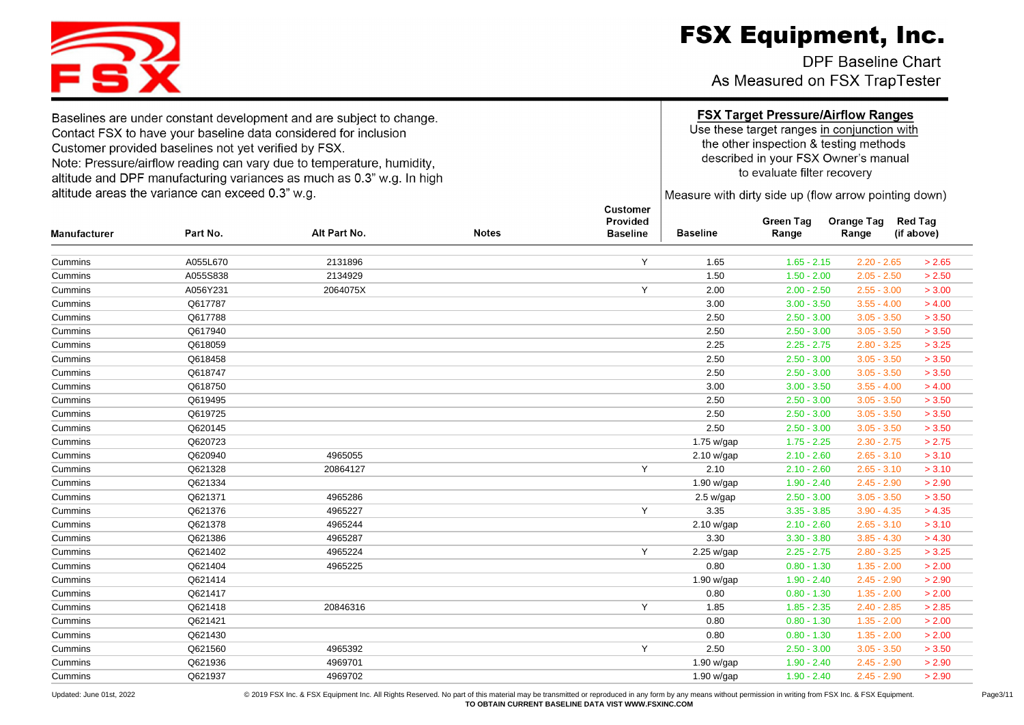DPF Baseline Chart As Measured on FSX TrapTester

### **FSX Target Pressure/Airflow Ranges**

Use these target ranges in conjunction with the other inspection & testing methods described in your FSX Owner's manual to evaluate filter recovery

Measure with dirty side up (flow arrow pointing down)

| <b>Manufacturer</b> | Part No. | Alt Part No. | <b>Notes</b> | Provided<br><b>Baseline</b> | <b>Baseline</b> | <b>Green Tag</b><br>Range | <b>Orange Tag</b><br>Range | <b>Red Tag</b><br>(if above) |
|---------------------|----------|--------------|--------------|-----------------------------|-----------------|---------------------------|----------------------------|------------------------------|
|                     |          |              |              |                             |                 |                           |                            |                              |
| Cummins             | A055L670 | 2131896      |              | Y                           | 1.65            | $1.65 - 2.15$             | $2.20 - 2.65$              | > 2.65                       |
| Cummins             | A055S838 | 2134929      |              |                             | 1.50            | $1.50 - 2.00$             | $2.05 - 2.50$              | > 2.50                       |
| Cummins             | A056Y231 | 2064075X     |              | Y                           | 2.00            | $2.00 - 2.50$             | $2.55 - 3.00$              | > 3.00                       |
| Cummins             | Q617787  |              |              |                             | 3.00            | $3.00 - 3.50$             | $3.55 - 4.00$              | > 4.00                       |
| Cummins             | Q617788  |              |              |                             | 2.50            | $2.50 - 3.00$             | $3.05 - 3.50$              | > 3.50                       |
| Cummins             | Q617940  |              |              |                             | 2.50            | $2.50 - 3.00$             | $3.05 - 3.50$              | > 3.50                       |
| Cummins             | Q618059  |              |              |                             | 2.25            | $2.25 - 2.75$             | $2.80 - 3.25$              | > 3.25                       |
| Cummins             | Q618458  |              |              |                             | 2.50            | $2.50 - 3.00$             | $3.05 - 3.50$              | > 3.50                       |
| Cummins             | Q618747  |              |              |                             | 2.50            | $2.50 - 3.00$             | $3.05 - 3.50$              | > 3.50                       |
| Cummins             | Q618750  |              |              |                             | 3.00            | $3.00 - 3.50$             | $3.55 - 4.00$              | > 4.00                       |
| Cummins             | Q619495  |              |              |                             | 2.50            | $2.50 - 3.00$             | $3.05 - 3.50$              | > 3.50                       |
| Cummins             | Q619725  |              |              |                             | 2.50            | $2.50 - 3.00$             | $3.05 - 3.50$              | > 3.50                       |
| Cummins             | Q620145  |              |              |                             | 2.50            | $2.50 - 3.00$             | $3.05 - 3.50$              | > 3.50                       |
| Cummins             | Q620723  |              |              |                             | 1.75 w/gap      | $1.75 - 2.25$             | $2.30 - 2.75$              | > 2.75                       |
| Cummins             | Q620940  | 4965055      |              |                             | 2.10 w/gap      | $2.10 - 2.60$             | $2.65 - 3.10$              | > 3.10                       |
| Cummins             | Q621328  | 20864127     |              | Y                           | 2.10            | $2.10 - 2.60$             | $2.65 - 3.10$              | > 3.10                       |
| Cummins             | Q621334  |              |              |                             | 1.90 w/gap      | $1.90 - 2.40$             | $2.45 - 2.90$              | > 2.90                       |
| Cummins             | Q621371  | 4965286      |              |                             | 2.5 w/gap       | $2.50 - 3.00$             | $3.05 - 3.50$              | > 3.50                       |
| Cummins             | Q621376  | 4965227      |              | Y                           | 3.35            | $3.35 - 3.85$             | $3.90 - 4.35$              | > 4.35                       |
| Cummins             | Q621378  | 4965244      |              |                             | 2.10 w/gap      | $2.10 - 2.60$             | $2.65 - 3.10$              | > 3.10                       |
| Cummins             | Q621386  | 4965287      |              |                             | 3.30            | $3.30 - 3.80$             | $3.85 - 4.30$              | > 4.30                       |
| Cummins             | Q621402  | 4965224      |              | Y                           | 2.25 w/gap      | $2.25 - 2.75$             | $2.80 - 3.25$              | > 3.25                       |
| Cummins             | Q621404  | 4965225      |              |                             | 0.80            | $0.80 - 1.30$             | $1.35 - 2.00$              | > 2.00                       |
| Cummins             | Q621414  |              |              |                             | 1.90 w/gap      | $1.90 - 2.40$             | $2.45 - 2.90$              | > 2.90                       |
| Cummins             | Q621417  |              |              |                             | 0.80            | $0.80 - 1.30$             | $1.35 - 2.00$              | > 2.00                       |
| Cummins             | Q621418  | 20846316     |              | Y                           | 1.85            | $1.85 - 2.35$             | $2.40 - 2.85$              | > 2.85                       |
| Cummins             | Q621421  |              |              |                             | 0.80            | $0.80 - 1.30$             | $1.35 - 2.00$              | > 2.00                       |
| Cummins             | Q621430  |              |              |                             | 0.80            | $0.80 - 1.30$             | $1.35 - 2.00$              | > 2.00                       |
| Cummins             | Q621560  | 4965392      |              | Y                           | 2.50            | $2.50 - 3.00$             | $3.05 - 3.50$              | > 3.50                       |
| Cummins             | Q621936  | 4969701      |              |                             | 1.90 w/gap      | $1.90 - 2.40$             | $2.45 - 2.90$              | > 2.90                       |
| Cummins             | Q621937  | 4969702      |              |                             | 1.90 w/gap      | $1.90 - 2.40$             | $2.45 - 2.90$              | > 2.90                       |



Baselines are under constant development and are subject to change. Contact FSX to have your baseline data considered for inclusion Customer provided baselines not yet verified by FSX. Note: Pressure/airflow reading can vary due to temperature, humidity, altitude and DPF manufacturing variances as much as 0.3" w.g. In high altitude areas the variance can exceed 0.3" w.g.

Dodated: June 01st, 2022 <br>© 2019 FSX Inc. & FSX Equipment Inc. All Rights Reserved. No part of this material may be transmitted or reproduced in any form by any means without permission in writing from FSX Inc. & FSX Equip **TO OBTAIN CURRENT BASELINE DATA VIST WWW.FSXINC.COM**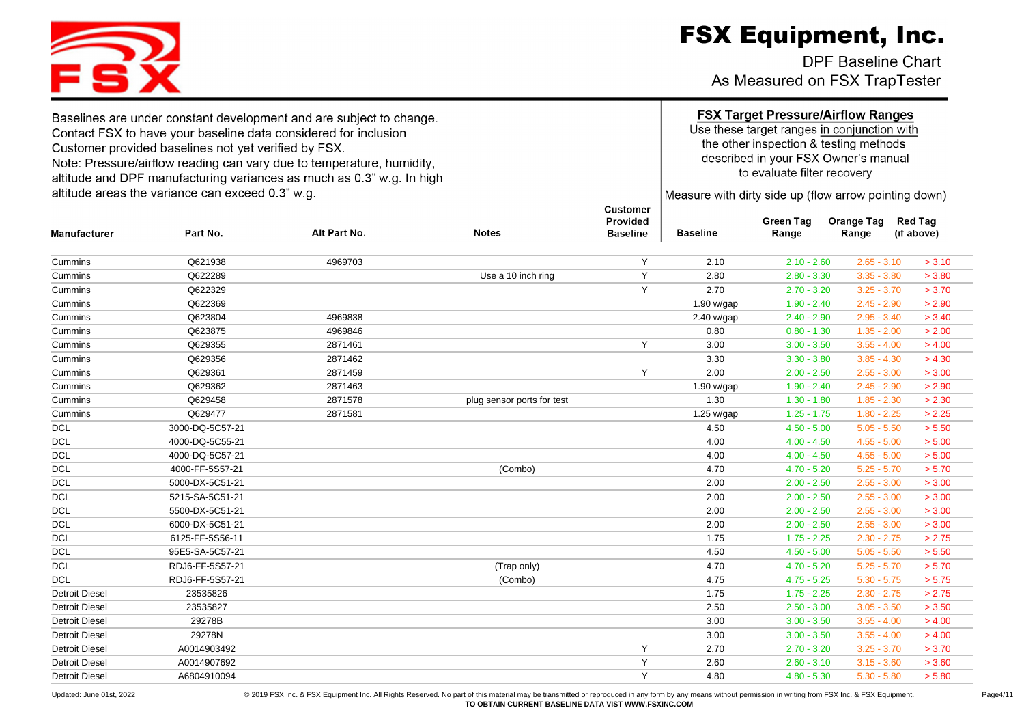**DPF Baseline Chart** As Measured on FSX TrapTester

Use these target ranges in conjunction with the other inspection & testing methods described in your FSX Owner's manual to evaluate filter recovery

Measure with dirty side up (flow arrow pointing down)

| <b>Manufacturer</b>   | Part No.        | Alt Part No. | <b>Notes</b>               | Provided<br><b>Baseline</b> | <b>Baseline</b> | Green Tag<br>Range | Orange Tag<br>Range | <b>Red Tag</b><br>(if above) |
|-----------------------|-----------------|--------------|----------------------------|-----------------------------|-----------------|--------------------|---------------------|------------------------------|
|                       |                 |              |                            |                             |                 |                    |                     |                              |
| Cummins               | Q621938         | 4969703      |                            | Y                           | 2.10            | $2.10 - 2.60$      | $2.65 - 3.10$       | > 3.10                       |
| Cummins               | Q622289         |              | Use a 10 inch ring         | Y                           | 2.80            | $2.80 - 3.30$      | $3.35 - 3.80$       | > 3.80                       |
| Cummins               | Q622329         |              |                            | Y                           | 2.70            | $2.70 - 3.20$      | $3.25 - 3.70$       | > 3.70                       |
| Cummins               | Q622369         |              |                            |                             | 1.90 w/gap      | $1.90 - 2.40$      | $2.45 - 2.90$       | > 2.90                       |
| Cummins               | Q623804         | 4969838      |                            |                             | 2.40 w/gap      | $2.40 - 2.90$      | $2.95 - 3.40$       | > 3.40                       |
| Cummins               | Q623875         | 4969846      |                            |                             | 0.80            | $0.80 - 1.30$      | $1.35 - 2.00$       | > 2.00                       |
| Cummins               | Q629355         | 2871461      |                            | Y                           | 3.00            | $3.00 - 3.50$      | $3.55 - 4.00$       | > 4.00                       |
| Cummins               | Q629356         | 2871462      |                            |                             | 3.30            | $3.30 - 3.80$      | $3.85 - 4.30$       | > 4.30                       |
| Cummins               | Q629361         | 2871459      |                            | Y                           | 2.00            | $2.00 - 2.50$      | $2.55 - 3.00$       | > 3.00                       |
| Cummins               | Q629362         | 2871463      |                            |                             | 1.90 w/gap      | $1.90 - 2.40$      | $2.45 - 2.90$       | > 2.90                       |
| Cummins               | Q629458         | 2871578      | plug sensor ports for test |                             | 1.30            | $1.30 - 1.80$      | $1.85 - 2.30$       | > 2.30                       |
| Cummins               | Q629477         | 2871581      |                            |                             | 1.25 w/gap      | $1.25 - 1.75$      | $1.80 - 2.25$       | > 2.25                       |
| <b>DCL</b>            | 3000-DQ-5C57-21 |              |                            |                             | 4.50            | $4.50 - 5.00$      | $5.05 - 5.50$       | > 5.50                       |
| <b>DCL</b>            | 4000-DQ-5C55-21 |              |                            |                             | 4.00            | $4.00 - 4.50$      | $4.55 - 5.00$       | > 5.00                       |
| <b>DCL</b>            | 4000-DQ-5C57-21 |              |                            |                             | 4.00            | $4.00 - 4.50$      | $4.55 - 5.00$       | > 5.00                       |
| <b>DCL</b>            | 4000-FF-5S57-21 |              | (Combo)                    |                             | 4.70            | $4.70 - 5.20$      | $5.25 - 5.70$       | > 5.70                       |
| <b>DCL</b>            | 5000-DX-5C51-21 |              |                            |                             | 2.00            | $2.00 - 2.50$      | $2.55 - 3.00$       | > 3.00                       |
| <b>DCL</b>            | 5215-SA-5C51-21 |              |                            |                             | 2.00            | $2.00 - 2.50$      | $2.55 - 3.00$       | > 3.00                       |
| <b>DCL</b>            | 5500-DX-5C51-21 |              |                            |                             | 2.00            | $2.00 - 2.50$      | $2.55 - 3.00$       | > 3.00                       |
| <b>DCL</b>            | 6000-DX-5C51-21 |              |                            |                             | 2.00            | $2.00 - 2.50$      | $2.55 - 3.00$       | > 3.00                       |
| <b>DCL</b>            | 6125-FF-5S56-11 |              |                            |                             | 1.75            | $1.75 - 2.25$      | $2.30 - 2.75$       | > 2.75                       |
| <b>DCL</b>            | 95E5-SA-5C57-21 |              |                            |                             | 4.50            | $4.50 - 5.00$      | $5.05 - 5.50$       | > 5.50                       |
| <b>DCL</b>            | RDJ6-FF-5S57-21 |              | (Trap only)                |                             | 4.70            | $4.70 - 5.20$      | $5.25 - 5.70$       | > 5.70                       |
| <b>DCL</b>            | RDJ6-FF-5S57-21 |              | (Combo)                    |                             | 4.75            | $4.75 - 5.25$      | $5.30 - 5.75$       | > 5.75                       |
| <b>Detroit Diesel</b> | 23535826        |              |                            |                             | 1.75            | $1.75 - 2.25$      | $2.30 - 2.75$       | > 2.75                       |
| <b>Detroit Diesel</b> | 23535827        |              |                            |                             | 2.50            | $2.50 - 3.00$      | $3.05 - 3.50$       | > 3.50                       |
| <b>Detroit Diesel</b> | 29278B          |              |                            |                             | 3.00            | $3.00 - 3.50$      | $3.55 - 4.00$       | > 4.00                       |
| <b>Detroit Diesel</b> | 29278N          |              |                            |                             | 3.00            | $3.00 - 3.50$      | $3.55 - 4.00$       | > 4.00                       |
| <b>Detroit Diesel</b> | A0014903492     |              |                            | Υ                           | 2.70            | $2.70 - 3.20$      | $3.25 - 3.70$       | > 3.70                       |
| <b>Detroit Diesel</b> | A0014907692     |              |                            | Υ                           | 2.60            | $2.60 - 3.10$      | $3.15 - 3.60$       | > 3.60                       |
| <b>Detroit Diesel</b> | A6804910094     |              |                            | Y                           | 4.80            | $4.80 - 5.30$      | $5.30 - 5.80$       | > 5.80                       |



Baselines are under constant development and are subject to change. Contact FSX to have your baseline data considered for inclusion Customer provided baselines not yet verified by FSX. Note: Pressure/airflow reading can vary due to temperature, humidity, altitude and DPF manufacturing variances as much as 0.3" w.g. In high altitude areas the variance can exceed 0.3" w.g.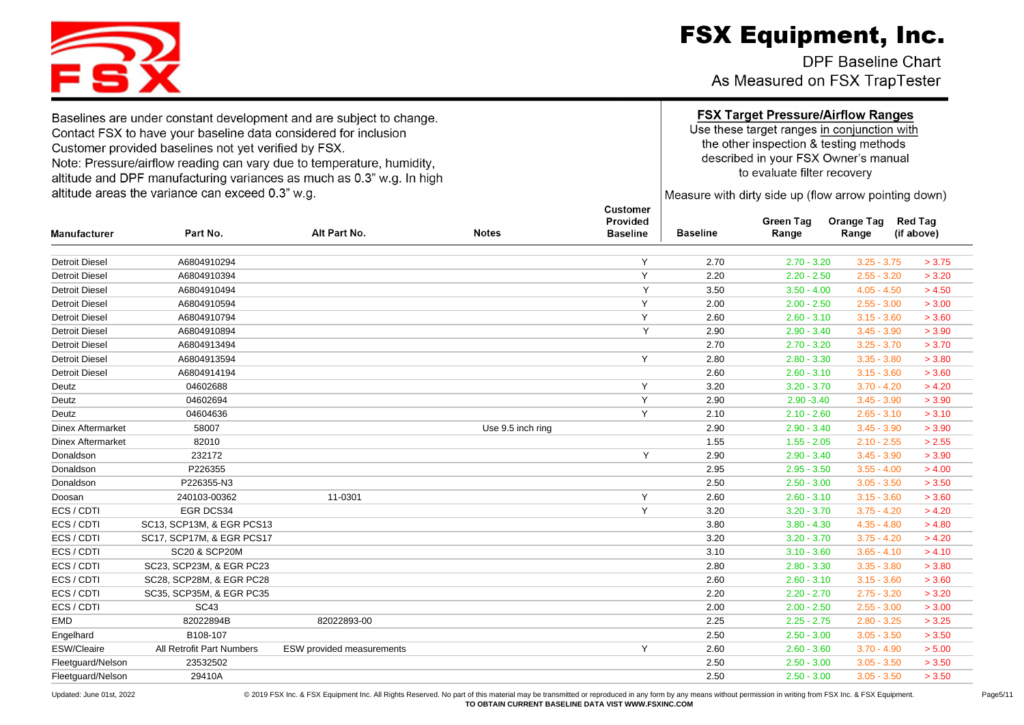**DPF Baseline Chart** As Measured on FSX TrapTester

#### **FSX Target Pressure/Airflow Ranges**

Use these target ranges in conjunction with the other inspection & testing methods described in your FSX Owner's manual to evaluate filter recovery

Measure with dirty side up (flow arrow pointing down)

| <b>Manufacturer</b>      | Part No.                  | Alt Part No.              | <b>Notes</b>      | Provided<br><b>Baseline</b> | <b>Baseline</b> | <b>Green Tag</b><br>Range | <b>Orange Tag</b><br>Range | <b>Red Tag</b><br>(if above) |
|--------------------------|---------------------------|---------------------------|-------------------|-----------------------------|-----------------|---------------------------|----------------------------|------------------------------|
| <b>Detroit Diesel</b>    | A6804910294               |                           |                   | Y                           | 2.70            | $2.70 - 3.20$             | $3.25 - 3.75$              | > 3.75                       |
| <b>Detroit Diesel</b>    | A6804910394               |                           |                   | Y                           | 2.20            | $2.20 - 2.50$             | $2.55 - 3.20$              | > 3.20                       |
| <b>Detroit Diesel</b>    | A6804910494               |                           |                   | Y                           | 3.50            | $3.50 - 4.00$             | $4.05 - 4.50$              | > 4.50                       |
| <b>Detroit Diesel</b>    | A6804910594               |                           |                   | Y                           | 2.00            | $2.00 - 2.50$             | $2.55 - 3.00$              | > 3.00                       |
| <b>Detroit Diesel</b>    | A6804910794               |                           |                   | Y                           | 2.60            | $2.60 - 3.10$             | $3.15 - 3.60$              | > 3.60                       |
| <b>Detroit Diesel</b>    | A6804910894               |                           |                   | Y                           | 2.90            | $2.90 - 3.40$             | $3.45 - 3.90$              | > 3.90                       |
| <b>Detroit Diesel</b>    | A6804913494               |                           |                   |                             | 2.70            | $2.70 - 3.20$             | $3.25 - 3.70$              | > 3.70                       |
| <b>Detroit Diesel</b>    | A6804913594               |                           |                   | Y                           | 2.80            | $2.80 - 3.30$             | $3.35 - 3.80$              | > 3.80                       |
| <b>Detroit Diesel</b>    | A6804914194               |                           |                   |                             | 2.60            | $2.60 - 3.10$             | $3.15 - 3.60$              | > 3.60                       |
| Deutz                    | 04602688                  |                           |                   | Y                           | 3.20            | $3.20 - 3.70$             | $3.70 - 4.20$              | > 4.20                       |
| Deutz                    | 04602694                  |                           |                   | Y                           | 2.90            | $2.90 - 3.40$             | $3.45 - 3.90$              | > 3.90                       |
| Deutz                    | 04604636                  |                           |                   | Y                           | 2.10            | $2.10 - 2.60$             | $2.65 - 3.10$              | > 3.10                       |
| <b>Dinex Aftermarket</b> | 58007                     |                           | Use 9.5 inch ring |                             | 2.90            | $2.90 - 3.40$             | $3.45 - 3.90$              | > 3.90                       |
| <b>Dinex Aftermarket</b> | 82010                     |                           |                   |                             | 1.55            | $1.55 - 2.05$             | $2.10 - 2.55$              | > 2.55                       |
| Donaldson                | 232172                    |                           |                   | Y                           | 2.90            | $2.90 - 3.40$             | $3.45 - 3.90$              | > 3.90                       |
| Donaldson                | P226355                   |                           |                   |                             | 2.95            | $2.95 - 3.50$             | $3.55 - 4.00$              | > 4.00                       |
| Donaldson                | P226355-N3                |                           |                   |                             | 2.50            | $2.50 - 3.00$             | $3.05 - 3.50$              | > 3.50                       |
| Doosan                   | 240103-00362              | 11-0301                   |                   | Y                           | 2.60            | $2.60 - 3.10$             | $3.15 - 3.60$              | > 3.60                       |
| ECS / CDTI               | EGR DCS34                 |                           |                   | Y                           | 3.20            | $3.20 - 3.70$             | $3.75 - 4.20$              | > 4.20                       |
| ECS / CDTI               | SC13, SCP13M, & EGR PCS13 |                           |                   |                             | 3.80            | $3.80 - 4.30$             | $4.35 - 4.80$              | > 4.80                       |
| ECS / CDTI               | SC17, SCP17M, & EGR PCS17 |                           |                   |                             | 3.20            | $3.20 - 3.70$             | $3.75 - 4.20$              | > 4.20                       |
| ECS / CDTI               | <b>SC20 &amp; SCP20M</b>  |                           |                   |                             | 3.10            | $3.10 - 3.60$             | $3.65 - 4.10$              | > 4.10                       |
| ECS / CDTI               | SC23, SCP23M, & EGR PC23  |                           |                   |                             | 2.80            | $2.80 - 3.30$             | $3.35 - 3.80$              | > 3.80                       |
| ECS / CDTI               | SC28, SCP28M, & EGR PC28  |                           |                   |                             | 2.60            | $2.60 - 3.10$             | $3.15 - 3.60$              | > 3.60                       |
| ECS / CDTI               | SC35, SCP35M, & EGR PC35  |                           |                   |                             | 2.20            | $2.20 - 2.70$             | $2.75 - 3.20$              | > 3.20                       |
| ECS / CDTI               | <b>SC43</b>               |                           |                   |                             | 2.00            | $2.00 - 2.50$             | $2.55 - 3.00$              | > 3.00                       |
| <b>EMD</b>               | 82022894B                 | 82022893-00               |                   |                             | 2.25            | $2.25 - 2.75$             | $2.80 - 3.25$              | > 3.25                       |
| Engelhard                | B108-107                  |                           |                   |                             | 2.50            | $2.50 - 3.00$             | $3.05 - 3.50$              | > 3.50                       |
| ESW/Cleaire              | All Retrofit Part Numbers | ESW provided measurements |                   | Y                           | 2.60            | $2.60 - 3.60$             | $3.70 - 4.90$              | > 5.00                       |
| Fleetguard/Nelson        | 23532502                  |                           |                   |                             | 2.50            | $2.50 - 3.00$             | $3.05 - 3.50$              | > 3.50                       |
| Fleetquard/Nelson        | 29410A                    |                           |                   |                             | 2.50            | $2.50 - 3.00$             | $3.05 - 3.50$              | > 3.50                       |

Dodated: June 01st, 2022 <br>© 2019 FSX Inc. & FSX Equipment. Inc. All Rights Reserved. No part of this material may be transmitted or reproduced in any form by any means without permission in writing from FSX Inc. & FSX Equi **TO OBTAIN CURRENT BASELINE DATA VIST WWW.FSXINC.COM**

Customer



Baselines are under constant development and are subject to change.

Note: Pressure/airflow reading can vary due to temperature, humidity,

altitude and DPF manufacturing variances as much as 0.3" w.g. In high

Contact FSX to have your baseline data considered for inclusion

Customer provided baselines not yet verified by FSX.

altitude areas the variance can exceed 0.3" w.g.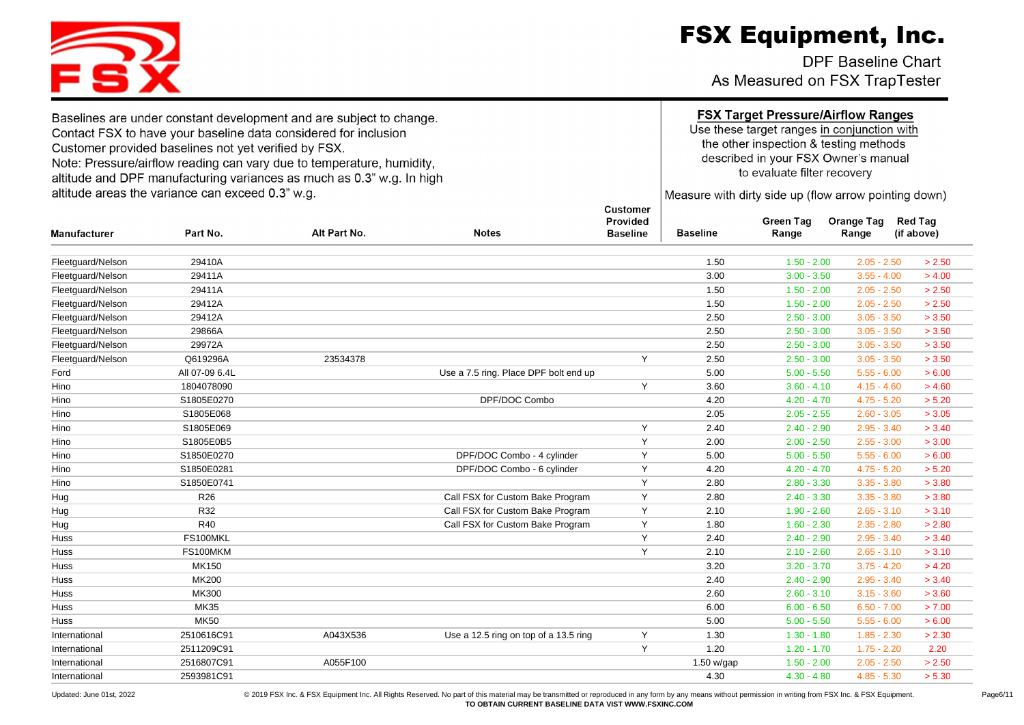DPF Baseline Chart As Measured on FSX TrapTester

Baselines are under constant development and are subject to change. Contact FSX to have your baseline data considered for inclusion Customer provided baselines not yet verified by FSX. Note: Pressure/airflow reading can vary due to temperature, humidity, altitude and DPF manufacturing variances as much as 0.3" w.g. In high altitude areas the variance can exceed 0.3" w.g.

S.

#### **FSX Target Pressure/Airflow Ranges**

Use these target ranges in conjunction with the other inspection & testing methods described in your FSX Owner's manual to evaluate filter recovery

Measure with dirty side up (flow arrow pointing down)

| <b>Manufacturer</b> | Part No.        | Alt Part No. | <b>Notes</b>                          | ,,,,,,,,,,,<br>Provided<br><b>Baseline</b> | <b>Baseline</b> | <b>Green Tag</b><br>Range | <b>Orange Tag</b><br>Range | <b>Red Tag</b><br>(if above) |
|---------------------|-----------------|--------------|---------------------------------------|--------------------------------------------|-----------------|---------------------------|----------------------------|------------------------------|
| Fleetguard/Nelson   | 29410A          |              |                                       |                                            | 1.50            | $1.50 - 2.00$             | $2.05 - 2.50$              | > 2.50                       |
| Fleetquard/Nelson   | 29411A          |              |                                       |                                            | 3.00            | $3.00 - 3.50$             | $3.55 - 4.00$              | > 4.00                       |
| Fleetguard/Nelson   | 29411A          |              |                                       |                                            | 1.50            | $1.50 - 2.00$             | $2.05 - 2.50$              | > 2.50                       |
| Fleetguard/Nelson   | 29412A          |              |                                       |                                            | 1.50            | $1.50 - 2.00$             | $2.05 - 2.50$              | > 2.50                       |
| Fleetguard/Nelson   | 29412A          |              |                                       |                                            | 2.50            | $2.50 - 3.00$             | $3.05 - 3.50$              | > 3.50                       |
| Fleetguard/Nelson   | 29866A          |              |                                       |                                            | 2.50            | $2.50 - 3.00$             | $3.05 - 3.50$              | > 3.50                       |
| Fleetguard/Nelson   | 29972A          |              |                                       |                                            | 2.50            | $2.50 - 3.00$             | $3.05 - 3.50$              | > 3.50                       |
| Fleetguard/Nelson   | Q619296A        | 23534378     |                                       | Y                                          | 2.50            | $2.50 - 3.00$             | $3.05 - 3.50$              | > 3.50                       |
| Ford                | All 07-09 6.4L  |              | Use a 7.5 ring. Place DPF bolt end up |                                            | 5.00            | $5.00 - 5.50$             | $5.55 - 6.00$              | > 6.00                       |
| Hino                | 1804078090      |              |                                       | Y                                          | 3.60            | $3.60 - 4.10$             | $4.15 - 4.60$              | > 4.60                       |
| Hino                | S1805E0270      |              | DPF/DOC Combo                         |                                            | 4.20            | $4.20 - 4.70$             | $4.75 - 5.20$              | > 5.20                       |
| Hino                | S1805E068       |              |                                       |                                            | 2.05            | $2.05 - 2.55$             | $2.60 - 3.05$              | > 3.05                       |
| Hino                | S1805E069       |              |                                       | Y                                          | 2.40            | $2.40 - 2.90$             | $2.95 - 3.40$              | > 3.40                       |
| Hino                | S1805E0B5       |              |                                       | Υ                                          | 2.00            | $2.00 - 2.50$             | $2.55 - 3.00$              | > 3.00                       |
| Hino                | S1850E0270      |              | DPF/DOC Combo - 4 cylinder            | Y                                          | 5.00            | $5.00 - 5.50$             | $5.55 - 6.00$              | > 6.00                       |
| Hino                | S1850E0281      |              | DPF/DOC Combo - 6 cylinder            | Y                                          | 4.20            | $4.20 - 4.70$             | $4.75 - 5.20$              | > 5.20                       |
| Hino                | S1850E0741      |              |                                       | Y                                          | 2.80            | $2.80 - 3.30$             | $3.35 - 3.80$              | > 3.80                       |
| Hug                 | R <sub>26</sub> |              | Call FSX for Custom Bake Program      | Y                                          | 2.80            | $2.40 - 3.30$             | $3.35 - 3.80$              | > 3.80                       |
| Hug                 | R32             |              | Call FSX for Custom Bake Program      | Y                                          | 2.10            | $1.90 - 2.60$             | $2.65 - 3.10$              | > 3.10                       |
| Hug                 | R40             |              | Call FSX for Custom Bake Program      | Y                                          | 1.80            | $1.60 - 2.30$             | $2.35 - 2.80$              | > 2.80                       |
| Huss                | FS100MKL        |              |                                       | Y                                          | 2.40            | $2.40 - 2.90$             | $2.95 - 3.40$              | > 3.40                       |
| Huss                | FS100MKM        |              |                                       | Y                                          | 2.10            | $2.10 - 2.60$             | $2.65 - 3.10$              | > 3.10                       |
| Huss                | <b>MK150</b>    |              |                                       |                                            | 3.20            | $3.20 - 3.70$             | $3.75 - 4.20$              | > 4.20                       |
| Huss                | <b>MK200</b>    |              |                                       |                                            | 2.40            | $2.40 - 2.90$             | $2.95 - 3.40$              | > 3.40                       |
| Huss                | <b>MK300</b>    |              |                                       |                                            | 2.60            | $2.60 - 3.10$             | $3.15 - 3.60$              | > 3.60                       |
| Huss                | <b>MK35</b>     |              |                                       |                                            | 6.00            | $6.00 - 6.50$             | $6.50 - 7.00$              | > 7.00                       |
| Huss                | <b>MK50</b>     |              |                                       |                                            | 5.00            | $5.00 - 5.50$             | $5.55 - 6.00$              | > 6.00                       |
| International       | 2510616C91      | A043X536     | Use a 12.5 ring on top of a 13.5 ring | Y                                          | 1.30            | $1.30 - 1.80$             | $1.85 - 2.30$              | > 2.30                       |
| International       | 2511209C91      |              |                                       | Y                                          | 1.20            | $1.20 - 1.70$             | $1.75 - 2.20$              | 2.20                         |
| International       | 2516807C91      | A055F100     |                                       |                                            | 1.50 w/gap      | $1.50 - 2.00$             | $2.05 - 2.50$              | > 2.50                       |
| International       | 2593981C91      |              |                                       |                                            | 4.30            | $4.30 - 4.80$             | $4.85 - 5.30$              | > 5.30                       |
|                     |                 |              |                                       |                                            |                 |                           |                            |                              |



Dodated: June 01st, 2022 <br>© 2019 FSX Inc. & FSX Equipment Inc. All Rights Reserved. No part of this material may be transmitted or reproduced in any form by any means without permission in writing from FSX Inc. & FSX Equip **TO OBTAIN CURRENT BASELINE DATA VIST WWW.FSXINC.COM**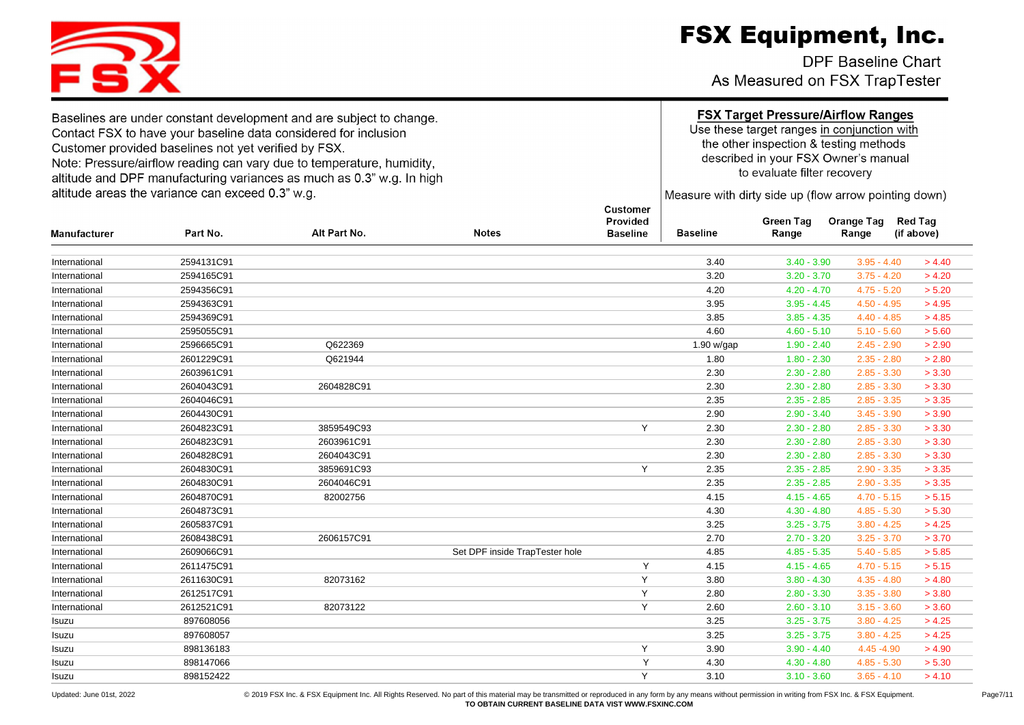DPF Baseline Chart As Measured on FSX TrapTester

Baselines are under constant development and are subject to change. Contact FSX to have your baseline data considered for inclusion Customer provided baselines not yet verified by FSX. Note: Pressure/airflow reading can vary due to temperature, humidity, altitude and DPF manufacturing variances as much as 0.3" w.g. In high

altitude areas the variance can exceed 0.3" w.g.

### **FSX Target Pressure/Airflow Ranges**

Use these target ranges in conjunction with the other inspection & testing methods described in your FSX Owner's manual to evaluate filter recovery

Measure with dirty side up (flow arrow pointing down)

Green Tag Orange Tag Red Tag

| Manufacturer  | Part No.   | Alt Part No. | <b>Notes</b>                   | <b>Baseline</b> | <b>Baseline</b> | Range         | Range         | (if above) |
|---------------|------------|--------------|--------------------------------|-----------------|-----------------|---------------|---------------|------------|
| International | 2594131C91 |              |                                |                 | 3.40            | $3.40 - 3.90$ | $3.95 - 4.40$ | > 4.40     |
| International | 2594165C91 |              |                                |                 | 3.20            | $3.20 - 3.70$ | $3.75 - 4.20$ | > 4.20     |
| International | 2594356C91 |              |                                |                 | 4.20            | $4.20 - 4.70$ | $4.75 - 5.20$ | > 5.20     |
| International | 2594363C91 |              |                                |                 | 3.95            | $3.95 - 4.45$ | $4.50 - 4.95$ | > 4.95     |
| International | 2594369C91 |              |                                |                 | 3.85            | $3.85 - 4.35$ | $4.40 - 4.85$ | > 4.85     |
| International | 2595055C91 |              |                                |                 | 4.60            | $4.60 - 5.10$ | $5.10 - 5.60$ | > 5.60     |
| International | 2596665C91 | Q622369      |                                |                 | 1.90 w/gap      | $1.90 - 2.40$ | $2.45 - 2.90$ | > 2.90     |
| International | 2601229C91 | Q621944      |                                |                 | 1.80            | $1.80 - 2.30$ | $2.35 - 2.80$ | > 2.80     |
| International | 2603961C91 |              |                                |                 | 2.30            | $2.30 - 2.80$ | $2.85 - 3.30$ | > 3.30     |
| International | 2604043C91 | 2604828C91   |                                |                 | 2.30            | $2.30 - 2.80$ | $2.85 - 3.30$ | > 3.30     |
| International | 2604046C91 |              |                                |                 | 2.35            | $2.35 - 2.85$ | $2.85 - 3.35$ | > 3.35     |
| International | 2604430C91 |              |                                |                 | 2.90            | $2.90 - 3.40$ | $3.45 - 3.90$ | > 3.90     |
| International | 2604823C91 | 3859549C93   |                                | Y               | 2.30            | $2.30 - 2.80$ | $2.85 - 3.30$ | > 3.30     |
| International | 2604823C91 | 2603961C91   |                                |                 | 2.30            | $2.30 - 2.80$ | $2.85 - 3.30$ | > 3.30     |
| International | 2604828C91 | 2604043C91   |                                |                 | 2.30            | $2.30 - 2.80$ | $2.85 - 3.30$ | > 3.30     |
| International | 2604830C91 | 3859691C93   |                                | Y               | 2.35            | $2.35 - 2.85$ | $2.90 - 3.35$ | > 3.35     |
| International | 2604830C91 | 2604046C91   |                                |                 | 2.35            | $2.35 - 2.85$ | $2.90 - 3.35$ | > 3.35     |
| International | 2604870C91 | 82002756     |                                |                 | 4.15            | $4.15 - 4.65$ | $4.70 - 5.15$ | > 5.15     |
| International | 2604873C91 |              |                                |                 | 4.30            | $4.30 - 4.80$ | $4.85 - 5.30$ | > 5.30     |
| International | 2605837C91 |              |                                |                 | 3.25            | $3.25 - 3.75$ | $3.80 - 4.25$ | > 4.25     |
| International | 2608438C91 | 2606157C91   |                                |                 | 2.70            | $2.70 - 3.20$ | $3.25 - 3.70$ | > 3.70     |
| International | 2609066C91 |              | Set DPF inside TrapTester hole |                 | 4.85            | $4.85 - 5.35$ | $5.40 - 5.85$ | > 5.85     |
| International | 2611475C91 |              |                                | Y               | 4.15            | $4.15 - 4.65$ | $4.70 - 5.15$ | > 5.15     |
| International | 2611630C91 | 82073162     |                                | Y               | 3.80            | $3.80 - 4.30$ | $4.35 - 4.80$ | > 4.80     |
| International | 2612517C91 |              |                                | Y               | 2.80            | $2.80 - 3.30$ | $3.35 - 3.80$ | > 3.80     |
| International | 2612521C91 | 82073122     |                                | Y               | 2.60            | $2.60 - 3.10$ | $3.15 - 3.60$ | > 3.60     |
| Isuzu         | 897608056  |              |                                |                 | 3.25            | $3.25 - 3.75$ | $3.80 - 4.25$ | > 4.25     |
| Isuzu         | 897608057  |              |                                |                 | 3.25            | $3.25 - 3.75$ | $3.80 - 4.25$ | > 4.25     |
| Isuzu         | 898136183  |              |                                | Y               | 3.90            | $3.90 - 4.40$ | 4.45 - 4.90   | > 4.90     |
| Isuzu         | 898147066  |              |                                | Y               | 4.30            | $4.30 - 4.80$ | $4.85 - 5.30$ | > 5.30     |
| Isuzu         | 898152422  |              |                                | Y               | 3.10            | $3.10 - 3.60$ | $3.65 - 4.10$ | > 4.10     |

Customer Provided

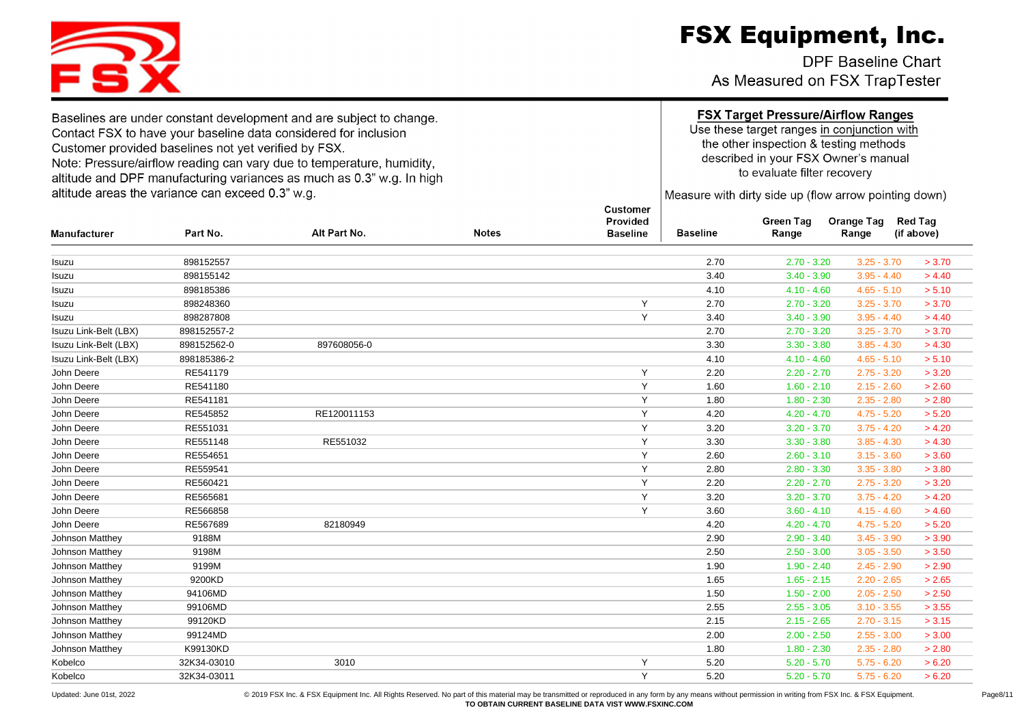DPF Baseline Chart As Measured on FSX TrapTester

Customer

Baselines are under constant development and are subject to change. Contact FSX to have your baseline data considered for inclusion Customer provided baselines not yet verified by FSX. Note: Pressure/airflow reading can vary due to temperature, humidity, altitude and DPF manufacturing variances as much as 0.3" w.g. In high altitude areas the variance can exceed 0.3" w.g.

### **FSX Target Pressure/Airflow Ranges**

Use these target ranges in conjunction with the other inspection & testing methods described in your FSX Owner's manual to evaluate filter recovery

Measure with dirty side up (flow arrow pointing down)

| <b>Manufacturer</b>   | Part No.    | Alt Part No. | <b>Notes</b> | Provided<br><b>Baseline</b> | <b>Baseline</b> | <b>Green Tag</b><br>Range | <b>Orange Tag</b><br>Range | <b>Red Tag</b><br>(if above) |
|-----------------------|-------------|--------------|--------------|-----------------------------|-----------------|---------------------------|----------------------------|------------------------------|
| Isuzu                 | 898152557   |              |              |                             | 2.70            | $2.70 - 3.20$             | $3.25 - 3.70$              | > 3.70                       |
| Isuzu                 | 898155142   |              |              |                             | 3.40            | $3.40 - 3.90$             | $3.95 - 4.40$              | > 4.40                       |
| Isuzu                 | 898185386   |              |              |                             | 4.10            | $4.10 - 4.60$             | $4.65 - 5.10$              | > 5.10                       |
| Isuzu                 | 898248360   |              |              | Y                           | 2.70            | $2.70 - 3.20$             | $3.25 - 3.70$              | > 3.70                       |
| Isuzu                 | 898287808   |              |              | Y                           | 3.40            | $3.40 - 3.90$             | $3.95 - 4.40$              | > 4.40                       |
| Isuzu Link-Belt (LBX) | 898152557-2 |              |              |                             | 2.70            | $2.70 - 3.20$             | $3.25 - 3.70$              | > 3.70                       |
| Isuzu Link-Belt (LBX) | 898152562-0 | 897608056-0  |              |                             | 3.30            | $3.30 - 3.80$             | $3.85 - 4.30$              | > 4.30                       |
| Isuzu Link-Belt (LBX) | 898185386-2 |              |              |                             | 4.10            | $4.10 - 4.60$             | $4.65 - 5.10$              | > 5.10                       |
| John Deere            | RE541179    |              |              | Y                           | 2.20            | $2.20 - 2.70$             | $2.75 - 3.20$              | > 3.20                       |
| John Deere            | RE541180    |              |              | Y                           | 1.60            | $1.60 - 2.10$             | $2.15 - 2.60$              | > 2.60                       |
| John Deere            | RE541181    |              |              | Y                           | 1.80            | $1.80 - 2.30$             | $2.35 - 2.80$              | > 2.80                       |
| John Deere            | RE545852    | RE120011153  |              | Y                           | 4.20            | $4.20 - 4.70$             | $4.75 - 5.20$              | > 5.20                       |
| John Deere            | RE551031    |              |              | Y                           | 3.20            | $3.20 - 3.70$             | $3.75 - 4.20$              | > 4.20                       |
| John Deere            | RE551148    | RE551032     |              | Y                           | 3.30            | $3.30 - 3.80$             | $3.85 - 4.30$              | > 4.30                       |
| John Deere            | RE554651    |              |              | Y                           | 2.60            | $2.60 - 3.10$             | $3.15 - 3.60$              | > 3.60                       |
| John Deere            | RE559541    |              |              | Y                           | 2.80            | $2.80 - 3.30$             | $3.35 - 3.80$              | > 3.80                       |
| John Deere            | RE560421    |              |              | Y                           | 2.20            | $2.20 - 2.70$             | $2.75 - 3.20$              | > 3.20                       |
| John Deere            | RE565681    |              |              | Y                           | 3.20            | $3.20 - 3.70$             | $3.75 - 4.20$              | > 4.20                       |
| John Deere            | RE566858    |              |              | Y                           | 3.60            | $3.60 - 4.10$             | $4.15 - 4.60$              | > 4.60                       |
| John Deere            | RE567689    | 82180949     |              |                             | 4.20            | $4.20 - 4.70$             | $4.75 - 5.20$              | > 5.20                       |
| Johnson Matthey       | 9188M       |              |              |                             | 2.90            | $2.90 - 3.40$             | $3.45 - 3.90$              | > 3.90                       |
| Johnson Matthey       | 9198M       |              |              |                             | 2.50            | $2.50 - 3.00$             | $3.05 - 3.50$              | > 3.50                       |
| Johnson Matthey       | 9199M       |              |              |                             | 1.90            | $1.90 - 2.40$             | $2.45 - 2.90$              | > 2.90                       |
| Johnson Matthey       | 9200KD      |              |              |                             | 1.65            | $1.65 - 2.15$             | $2.20 - 2.65$              | > 2.65                       |
| Johnson Matthey       | 94106MD     |              |              |                             | 1.50            | $1.50 - 2.00$             | $2.05 - 2.50$              | > 2.50                       |
| Johnson Matthey       | 99106MD     |              |              |                             | 2.55            | $2.55 - 3.05$             | $3.10 - 3.55$              | > 3.55                       |
| Johnson Matthey       | 99120KD     |              |              |                             | 2.15            | $2.15 - 2.65$             | $2.70 - 3.15$              | > 3.15                       |
| Johnson Matthey       | 99124MD     |              |              |                             | 2.00            | $2.00 - 2.50$             | $2.55 - 3.00$              | > 3.00                       |
| Johnson Matthey       | K99130KD    |              |              |                             | 1.80            | $1.80 - 2.30$             | $2.35 - 2.80$              | > 2.80                       |
| Kobelco               | 32K34-03010 | 3010         |              | Y                           | 5.20            | $5.20 - 5.70$             | $5.75 - 6.20$              | > 6.20                       |
| Kobelco               | 32K34-03011 |              |              | Y                           | 5.20            | $5.20 - 5.70$             | $5.75 - 6.20$              | > 6.20                       |
|                       |             |              |              |                             |                 |                           |                            |                              |

FS.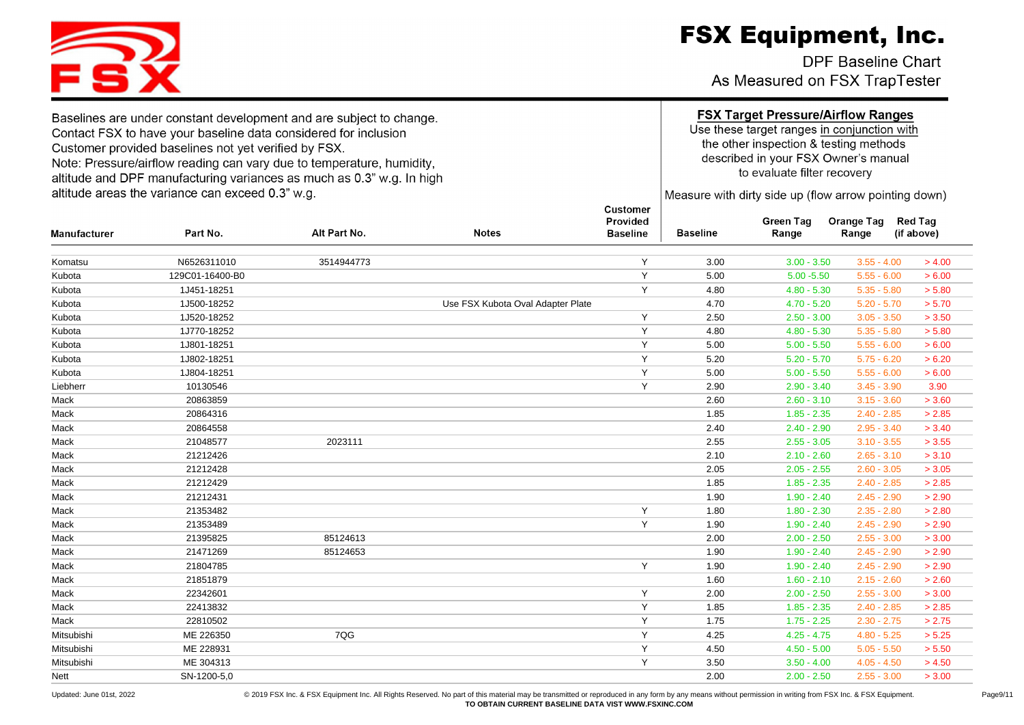DPF Baseline Chart As Measured on FSX TrapTester

Use these target ranges in conjunction with the other inspection & testing methods described in your FSX Owner's manual to evaluate filter recovery

Measure with dirty side up (flow arrow pointing down)

| <b>Manufacturer</b> | Part No.        | Alt Part No. | <b>Notes</b>                      | Provided<br><b>Baseline</b> | <b>Baseline</b> | Green lag<br>Range | Orange Tag<br>Range | Red lag<br>(if above) |
|---------------------|-----------------|--------------|-----------------------------------|-----------------------------|-----------------|--------------------|---------------------|-----------------------|
|                     |                 |              |                                   |                             |                 |                    |                     |                       |
| Komatsu             | N6526311010     | 3514944773   |                                   | Y                           | 3.00            | $3.00 - 3.50$      | $3.55 - 4.00$       | > 4.00                |
| Kubota              | 129C01-16400-B0 |              |                                   | Y                           | 5.00            | $5.00 - 5.50$      | $5.55 - 6.00$       | > 6.00                |
| Kubota              | 1J451-18251     |              |                                   | Y                           | 4.80            | $4.80 - 5.30$      | $5.35 - 5.80$       | > 5.80                |
| Kubota              | 1J500-18252     |              | Use FSX Kubota Oval Adapter Plate |                             | 4.70            | $4.70 - 5.20$      | $5.20 - 5.70$       | > 5.70                |
| Kubota              | 1J520-18252     |              |                                   | Y                           | 2.50            | $2.50 - 3.00$      | $3.05 - 3.50$       | > 3.50                |
| Kubota              | 1J770-18252     |              |                                   | Y                           | 4.80            | $4.80 - 5.30$      | $5.35 - 5.80$       | > 5.80                |
| Kubota              | 1J801-18251     |              |                                   | Y                           | 5.00            | $5.00 - 5.50$      | $5.55 - 6.00$       | > 6.00                |
| Kubota              | 1J802-18251     |              |                                   | Y                           | 5.20            | $5.20 - 5.70$      | $5.75 - 6.20$       | > 6.20                |
| Kubota              | 1J804-18251     |              |                                   | Y                           | 5.00            | $5.00 - 5.50$      | $5.55 - 6.00$       | > 6.00                |
| Liebherr            | 10130546        |              |                                   | Y                           | 2.90            | $2.90 - 3.40$      | $3.45 - 3.90$       | 3.90                  |
| Mack                | 20863859        |              |                                   |                             | 2.60            | $2.60 - 3.10$      | $3.15 - 3.60$       | > 3.60                |
| Mack                | 20864316        |              |                                   |                             | 1.85            | $1.85 - 2.35$      | $2.40 - 2.85$       | > 2.85                |
| Mack                | 20864558        |              |                                   |                             | 2.40            | $2.40 - 2.90$      | $2.95 - 3.40$       | > 3.40                |
| Mack                | 21048577        | 2023111      |                                   |                             | 2.55            | $2.55 - 3.05$      | $3.10 - 3.55$       | > 3.55                |
| Mack                | 21212426        |              |                                   |                             | 2.10            | $2.10 - 2.60$      | $2.65 - 3.10$       | > 3.10                |
| Mack                | 21212428        |              |                                   |                             | 2.05            | $2.05 - 2.55$      | $2.60 - 3.05$       | > 3.05                |
| Mack                | 21212429        |              |                                   |                             | 1.85            | $1.85 - 2.35$      | $2.40 - 2.85$       | > 2.85                |
| Mack                | 21212431        |              |                                   |                             | 1.90            | $1.90 - 2.40$      | $2.45 - 2.90$       | > 2.90                |
| Mack                | 21353482        |              |                                   | Y                           | 1.80            | $1.80 - 2.30$      | $2.35 - 2.80$       | > 2.80                |
| Mack                | 21353489        |              |                                   | Y                           | 1.90            | $1.90 - 2.40$      | $2.45 - 2.90$       | > 2.90                |
| Mack                | 21395825        | 85124613     |                                   |                             | 2.00            | $2.00 - 2.50$      | $2.55 - 3.00$       | > 3.00                |
| Mack                | 21471269        | 85124653     |                                   |                             | 1.90            | $1.90 - 2.40$      | $2.45 - 2.90$       | > 2.90                |
| Mack                | 21804785        |              |                                   | Y                           | 1.90            | $1.90 - 2.40$      | $2.45 - 2.90$       | > 2.90                |
| Mack                | 21851879        |              |                                   |                             | 1.60            | $1.60 - 2.10$      | $2.15 - 2.60$       | > 2.60                |
| Mack                | 22342601        |              |                                   | Y                           | 2.00            | $2.00 - 2.50$      | $2.55 - 3.00$       | > 3.00                |
| Mack                | 22413832        |              |                                   | Y                           | 1.85            | $1.85 - 2.35$      | $2.40 - 2.85$       | > 2.85                |
| Mack                | 22810502        |              |                                   | Y                           | 1.75            | $1.75 - 2.25$      | $2.30 - 2.75$       | > 2.75                |
| Mitsubishi          | ME 226350       | 7QG          |                                   | Y                           | 4.25            | $4.25 - 4.75$      | $4.80 - 5.25$       | > 5.25                |
| Mitsubishi          | ME 228931       |              |                                   | Y                           | 4.50            | $4.50 - 5.00$      | $5.05 - 5.50$       | > 5.50                |
| Mitsubishi          | ME 304313       |              |                                   | Y                           | 3.50            | $3.50 - 4.00$      | $4.05 - 4.50$       | > 4.50                |
| Nett                | SN-1200-5,0     |              |                                   |                             | 2.00            | $2.00 - 2.50$      | $2.55 - 3.00$       | > 3.00                |



Baselines are under constant development and are subject to change. Contact FSX to have your baseline data considered for inclusion Customer provided baselines not yet verified by FSX. Note: Pressure/airflow reading can vary due to temperature, humidity, altitude and DPF manufacturing variances as much as 0.3" w.g. In high altitude areas the variance can exceed 0.3" w.g.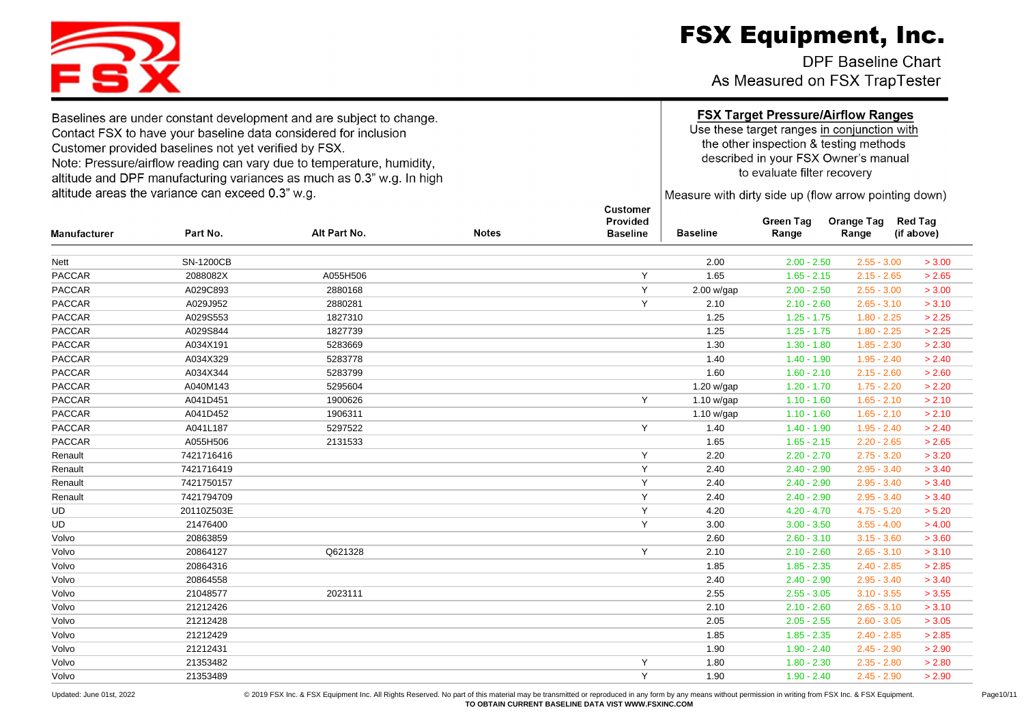DPF Baseline Chart As Measured on FSX TrapTester

Baselines are under constant development and are subject to change. Contact FSX to have your baseline data considered for inclusion Customer provided baselines not yet verified by FSX. Note: Pressure/airflow reading can vary due to temperature, humidity, altitude and DPF manufacturing variances as much as 0.3" w.g. In high altitude areas the variance can exceed 0.3" w.g.

### **FSX Target Pressure/Airflow Ranges**

Use these target ranges in conjunction with the other inspection & testing methods described in your FSX Owner's manual to evaluate filter recovery

Measure with dirty side up (flow arrow pointing down)

| <b>Manufacturer</b> | Part No.         | Alt Part No. | <b>Notes</b> | Provided<br><b>Baseline</b> | <b>Baseline</b> | <b>Green Tag</b><br>Range | <b>Orange Tag</b><br>Range | <b>Red Tag</b><br>(if above) |
|---------------------|------------------|--------------|--------------|-----------------------------|-----------------|---------------------------|----------------------------|------------------------------|
| Nett                | <b>SN-1200CB</b> |              |              |                             | 2.00            | $2.00 - 2.50$             | $2.55 - 3.00$              | > 3.00                       |
| PACCAR              | 2088082X         | A055H506     |              | Y                           | 1.65            | $1.65 - 2.15$             | $2.15 - 2.65$              | > 2.65                       |
| <b>PACCAR</b>       | A029C893         | 2880168      |              | Y                           | 2.00 w/gap      | $2.00 - 2.50$             | $2.55 - 3.00$              | > 3.00                       |
| <b>PACCAR</b>       | A029J952         | 2880281      |              | Y                           | 2.10            | $2.10 - 2.60$             | $2.65 - 3.10$              | > 3.10                       |
| <b>PACCAR</b>       | A029S553         | 1827310      |              |                             | 1.25            | $1.25 - 1.75$             | $1.80 - 2.25$              | > 2.25                       |
| <b>PACCAR</b>       | A029S844         | 1827739      |              |                             | 1.25            | $1.25 - 1.75$             | $1.80 - 2.25$              | > 2.25                       |
| <b>PACCAR</b>       | A034X191         | 5283669      |              |                             | 1.30            | $1.30 - 1.80$             | $1.85 - 2.30$              | > 2.30                       |
| <b>PACCAR</b>       | A034X329         | 5283778      |              |                             | 1.40            | $1.40 - 1.90$             | $1.95 - 2.40$              | > 2.40                       |
| <b>PACCAR</b>       | A034X344         | 5283799      |              |                             | 1.60            | $1.60 - 2.10$             | $2.15 - 2.60$              | > 2.60                       |
| PACCAR              | A040M143         | 5295604      |              |                             | 1.20 w/gap      | $1.20 - 1.70$             | $1.75 - 2.20$              | > 2.20                       |
| <b>PACCAR</b>       | A041D451         | 1900626      |              | Y                           | 1.10 w/gap      | $1.10 - 1.60$             | $1.65 - 2.10$              | > 2.10                       |
| <b>PACCAR</b>       | A041D452         | 1906311      |              |                             | 1.10 w/gap      | $1.10 - 1.60$             | $1.65 - 2.10$              | > 2.10                       |
| <b>PACCAR</b>       | A041L187         | 5297522      |              | Y                           | 1.40            | $1.40 - 1.90$             | $1.95 - 2.40$              | > 2.40                       |
| <b>PACCAR</b>       | A055H506         | 2131533      |              |                             | 1.65            | $1.65 - 2.15$             | $2.20 - 2.65$              | > 2.65                       |
| Renault             | 7421716416       |              |              | Y                           | 2.20            | $2.20 - 2.70$             | $2.75 - 3.20$              | > 3.20                       |
| Renault             | 7421716419       |              |              | Y                           | 2.40            | $2.40 - 2.90$             | $2.95 - 3.40$              | > 3.40                       |
| Renault             | 7421750157       |              |              | Y                           | 2.40            | $2.40 - 2.90$             | $2.95 - 3.40$              | > 3.40                       |
| Renault             | 7421794709       |              |              | Y                           | 2.40            | $2.40 - 2.90$             | $2.95 - 3.40$              | > 3.40                       |
| UD                  | 20110Z503E       |              |              | Y                           | 4.20            | $4.20 - 4.70$             | $4.75 - 5.20$              | > 5.20                       |
| UD                  | 21476400         |              |              | Y                           | 3.00            | $3.00 - 3.50$             | $3.55 - 4.00$              | > 4.00                       |
| Volvo               | 20863859         |              |              |                             | 2.60            | $2.60 - 3.10$             | $3.15 - 3.60$              | > 3.60                       |
| Volvo               | 20864127         | Q621328      |              | Y                           | 2.10            | $2.10 - 2.60$             | $2.65 - 3.10$              | > 3.10                       |
| Volvo               | 20864316         |              |              |                             | 1.85            | $1.85 - 2.35$             | $2.40 - 2.85$              | > 2.85                       |
| Volvo               | 20864558         |              |              |                             | 2.40            | $2.40 - 2.90$             | $2.95 - 3.40$              | > 3.40                       |
| Volvo               | 21048577         | 2023111      |              |                             | 2.55            | $2.55 - 3.05$             | $3.10 - 3.55$              | > 3.55                       |
| Volvo               | 21212426         |              |              |                             | 2.10            | $2.10 - 2.60$             | $2.65 - 3.10$              | > 3.10                       |
| Volvo               | 21212428         |              |              |                             | 2.05            | $2.05 - 2.55$             | $2.60 - 3.05$              | > 3.05                       |
| Volvo               | 21212429         |              |              |                             | 1.85            | $1.85 - 2.35$             | $2.40 - 2.85$              | > 2.85                       |
| Volvo               | 21212431         |              |              |                             | 1.90            | $1.90 - 2.40$             | $2.45 - 2.90$              | > 2.90                       |
| Volvo               | 21353482         |              |              | Y                           | 1.80            | $1.80 - 2.30$             | $2.35 - 2.80$              | > 2.80                       |
| Volvo               | 21353489         |              |              | Y                           | 1.90            | $1.90 - 2.40$             | $2.45 - 2.90$              | > 2.90                       |

181